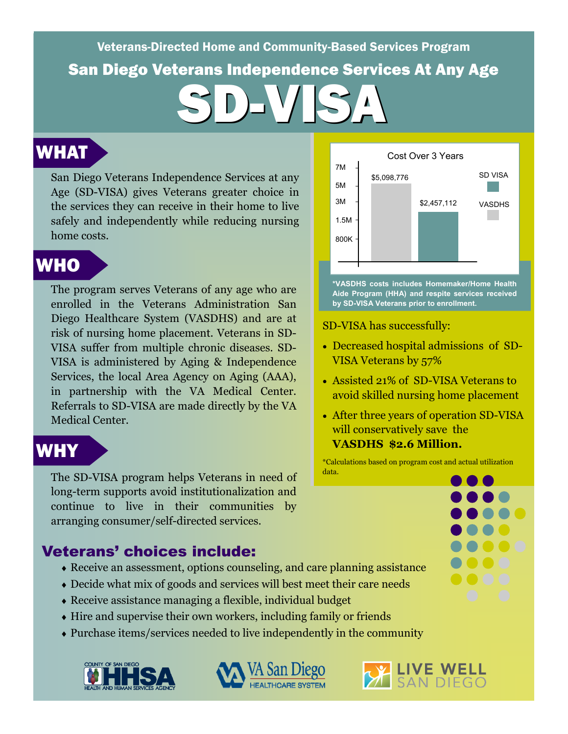San Diego Veterans Independence Services At Any Age Veterans-Directed Home and Community-Based Services Program SD-VISA

## WHAT

San Diego Veterans Independence Services at any 185,098,776 Age (SD-VISA) gives Veterans greater choice in the services they can receive in their home to live safely and independently while reducing nursing home costs.

# WHO

The program serves Veterans of any age who are enrolled in the Veterans Administration San Diego Healthcare System (VASDHS) and are at risk of nursing home placement. Veterans in SD-VISA suffer from multiple chronic diseases. SD-VISA is administered by Aging & Independence Services, the local Area Agency on Aging (AAA), in partnership with the VA Medical Center. Referrals to SD-VISA are made directly by the VA Medical Center.

## WHY

The SD-VISA program helps Veterans in need of long-term supports avoid institutionalization and continue to live in their communities by arranging consumer/self-directed services.

#### Veterans' choices include:

- Receive an assessment, options counseling, and care planning assistance
- Decide what mix of goods and services will best meet their care needs
- Receive assistance managing a flexible, individual budget
- Hire and supervise their own workers, including family or friends
- Purchase items/services needed to live independently in the community







**\*VASDHS costs includes Homemaker/Home Health Aide Program (HHA) and respite services received by SD-VISA Veterans prior to enrollment.** 

SD-VISA has successfully:

- Decreased hospital admissions of SD-VISA Veterans by 57%
- Assisted 21% of SD-VISA Veterans to avoid skilled nursing home placement
- After three years of operation SD-VISA will conservatively save the **VASDHS \$2.6 Million.**

\*Calculations based on program cost and actual utilization data.